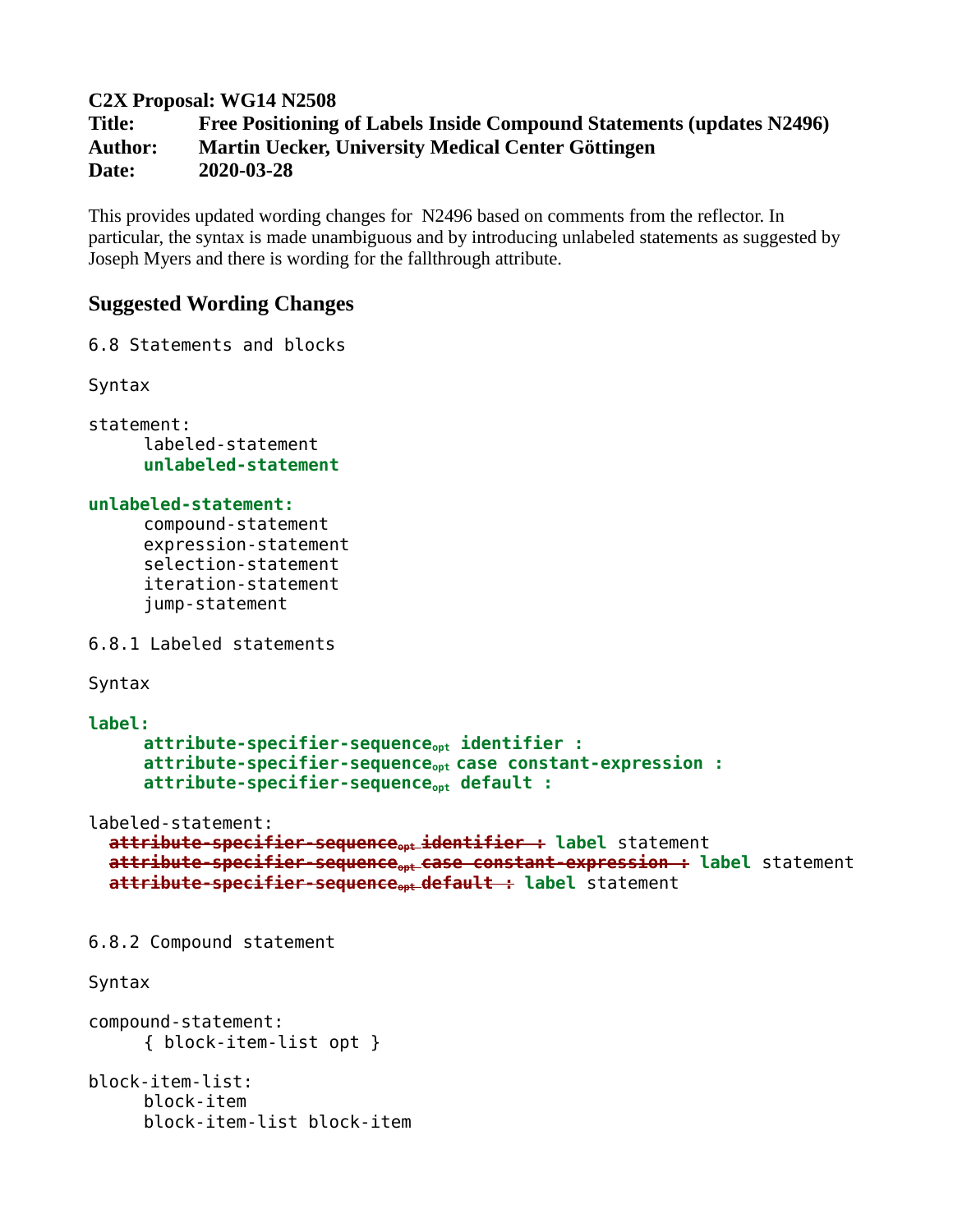**C2X Proposal: WG14 N2508**

**Title: Free Positioning of Labels Inside Compound Statements (updates N2496) Author: Martin Uecker, University Medical Center Göttingen Date: 2020-03-28**

This provides updated wording changes for N2496 based on comments from the reflector. In particular, the syntax is made unambiguous and by introducing unlabeled statements as suggested by Joseph Myers and there is wording for the fallthrough attribute.

# **Suggested Wording Changes**

6.8 Statements and blocks

Syntax

statement: labeled-statement **unlabeled-statement**

## **unlabeled-statement:**

compound-statement expression-statement selection-statement iteration-statement jump-statement

6.8.1 Labeled statements

Syntax

```
label:
     attribute-specifier-sequenceopt identifier :
     attribute-specifier-sequenceopt case constant-expression :
     attribute-specifier-sequenceopt default :
```
labeled-statement:

```
attribute-specifier-sequenceopt identifier : label statement
attribute-specifier-sequenceopt case constant-expression : label statement
attribute-specifier-sequenceopt default : label statement
```
6.8.2 Compound statement

Syntax

```
compound-statement:
     { block-item-list opt }
```

```
block-item-list:
     block-item
     block-item-list block-item
```